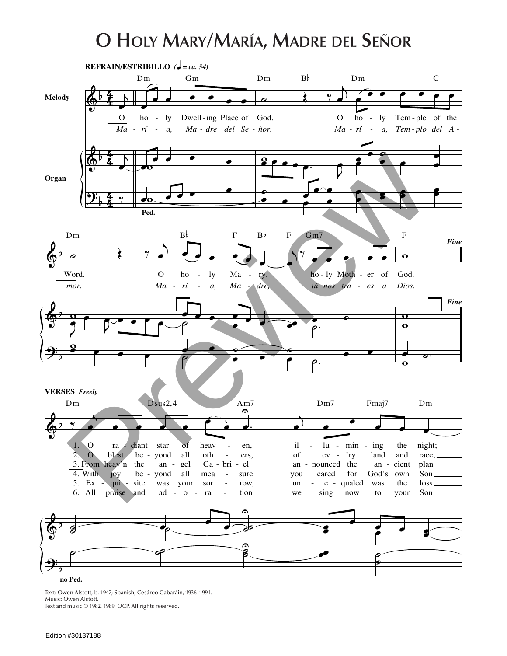## **O Holy Mary/María, Madre del Señor**



Text: Owen Alstott, b. 1947; Spanish, Cesáreo Gabaráin, 1936–1991. Music: Owen Alstott. Text and music © 1982, 1989, OCP. All rights reserved.